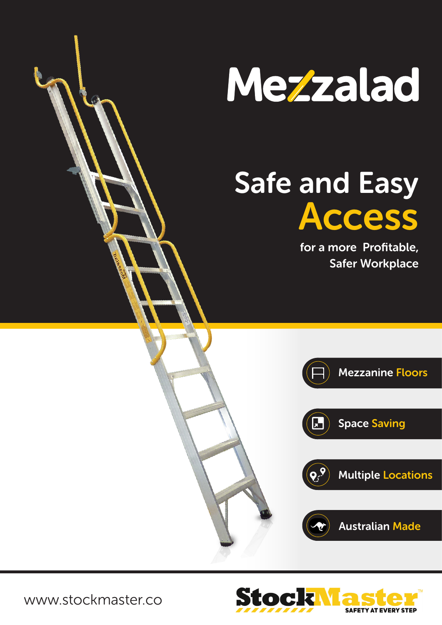

## Safe and Easy Access

for a more Profitable, Safer Workplace





Space Saving



Multiple Locations





www.stockmaster.co